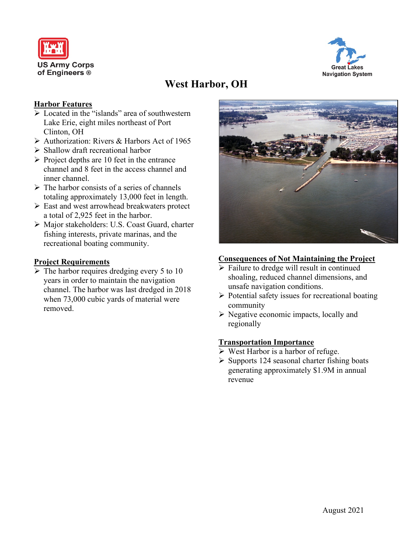



# **West Harbor, OH**

#### **Harbor Features**

- $\triangleright$  Located in the "islands" area of southwestern Lake Erie, eight miles northeast of Port Clinton, OH
- Authorization: Rivers & Harbors Act of 1965
- $\triangleright$  Shallow draft recreational harbor
- $\triangleright$  Project depths are 10 feet in the entrance channel and 8 feet in the access channel and inner channel.
- $\triangleright$  The harbor consists of a series of channels totaling approximately 13,000 feet in length.
- East and west arrowhead breakwaters protect a total of 2,925 feet in the harbor.
- Major stakeholders: U.S. Coast Guard, charter fishing interests, private marinas, and the recreational boating community.

#### **Project Requirements**

 $\triangleright$  The harbor requires dredging every 5 to 10 years in order to maintain the navigation channel. The harbor was last dredged in 2018 when 73,000 cubic yards of material were removed.



#### **Consequences of Not Maintaining the Project**

- $\triangleright$  Failure to dredge will result in continued shoaling, reduced channel dimensions, and unsafe navigation conditions.
- $\triangleright$  Potential safety issues for recreational boating community
- $\triangleright$  Negative economic impacts, locally and regionally

#### **Transportation Importance**

- $\triangleright$  West Harbor is a harbor of refuge.
- $\triangleright$  Supports 124 seasonal charter fishing boats generating approximately \$1.9M in annual revenue